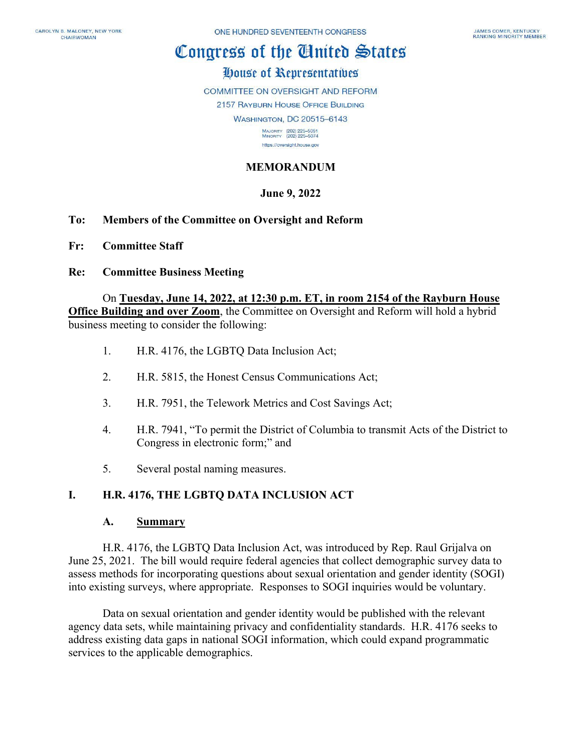# Congress of the Cinited States

## House of Representatives

COMMITTEE ON OVERSIGHT AND REFORM

2157 RAYBURN HOUSE OFFICE BUILDING

**WASHINGTON, DC 20515-6143** 

MAJORITY (202) 225-5051<br>MINORITY (202) 225-5074 https://oversight.house.gov

## **MEMORANDUM**

#### **June 9, 2022**

- **To: Members of the Committee on Oversight and Reform**
- **Fr: Committee Staff**
- **Re: Committee Business Meeting**

#### On **Tuesday, June 14, 2022, at 12:30 p.m. ET, in room 2154 of the Rayburn House**

**Office Building and over Zoom**, the Committee on Oversight and Reform will hold a hybrid business meeting to consider the following:

- 1. H.R. 4176, the LGBTQ Data Inclusion Act;
- 2. H.R. 5815, the Honest Census Communications Act;
- 3. H.R. 7951, the Telework Metrics and Cost Savings Act;
- 4. H.R. 7941, "To permit the District of Columbia to transmit Acts of the District to Congress in electronic form;" and
- 5. Several postal naming measures.

#### **I. H.R. 4176, THE LGBTQ DATA INCLUSION ACT**

#### **A. Summary**

H.R. 4176, the LGBTQ Data Inclusion Act, was introduced by Rep. Raul Grijalva on June 25, 2021. The bill would require federal agencies that collect demographic survey data to assess methods for incorporating questions about sexual orientation and gender identity (SOGI) into existing surveys, where appropriate. Responses to SOGI inquiries would be voluntary.

Data on sexual orientation and gender identity would be published with the relevant agency data sets, while maintaining privacy and confidentiality standards. H.R. 4176 seeks to address existing data gaps in national SOGI information, which could expand programmatic services to the applicable demographics.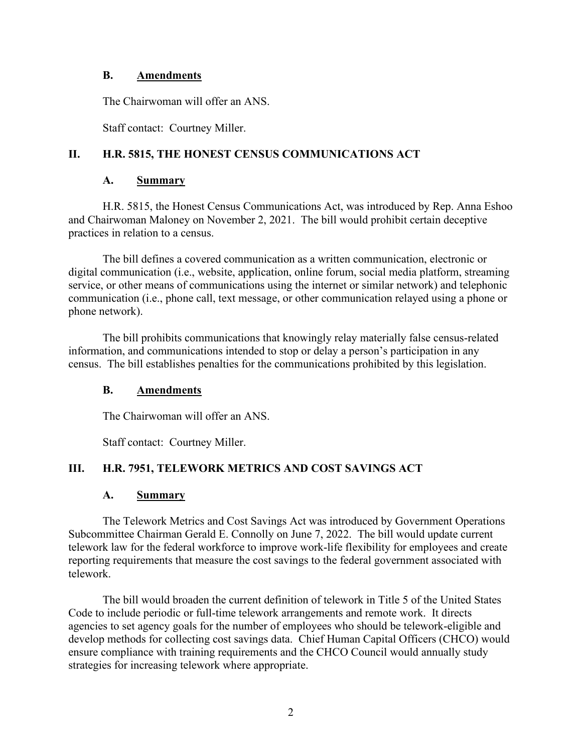#### **B. Amendments**

The Chairwoman will offer an ANS.

Staff contact: Courtney Miller.

## **II. H.R. 5815, THE HONEST CENSUS COMMUNICATIONS ACT**

#### **A. Summary**

H.R. 5815, the Honest Census Communications Act, was introduced by Rep. Anna Eshoo and Chairwoman Maloney on November 2, 2021. The bill would prohibit certain deceptive practices in relation to a census.

The bill defines a covered communication as a written communication, electronic or digital communication (i.e., website, application, online forum, social media platform, streaming service, or other means of communications using the internet or similar network) and telephonic communication (i.e., phone call, text message, or other communication relayed using a phone or phone network).

The bill prohibits communications that knowingly relay materially false census-related information, and communications intended to stop or delay a person's participation in any census. The bill establishes penalties for the communications prohibited by this legislation.

#### **B. Amendments**

The Chairwoman will offer an ANS.

Staff contact: Courtney Miller.

#### **III. H.R. 7951, TELEWORK METRICS AND COST SAVINGS ACT**

#### **A. Summary**

The Telework Metrics and Cost Savings Act was introduced by Government Operations Subcommittee Chairman Gerald E. Connolly on June 7, 2022. The bill would update current telework law for the federal workforce to improve work-life flexibility for employees and create reporting requirements that measure the cost savings to the federal government associated with telework.

The bill would broaden the current definition of telework in Title 5 of the United States Code to include periodic or full-time telework arrangements and remote work. It directs agencies to set agency goals for the number of employees who should be telework-eligible and develop methods for collecting cost savings data. Chief Human Capital Officers (CHCO) would ensure compliance with training requirements and the CHCO Council would annually study strategies for increasing telework where appropriate.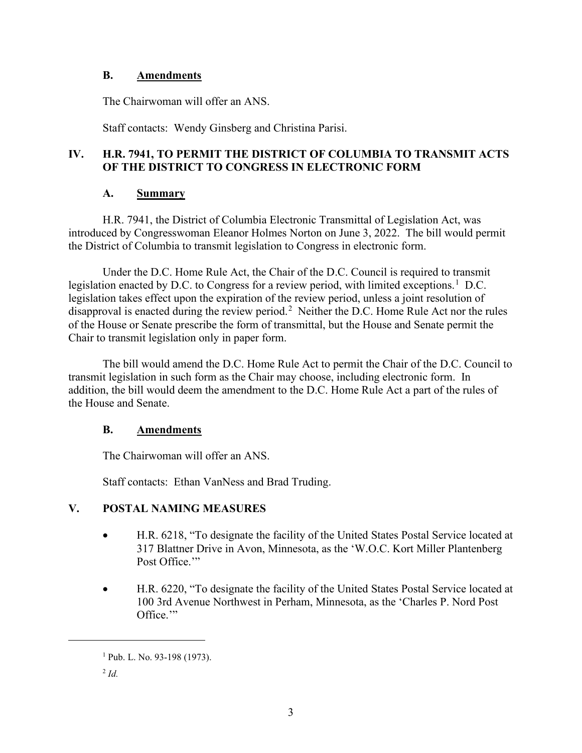#### **B. Amendments**

The Chairwoman will offer an ANS.

Staff contacts: Wendy Ginsberg and Christina Parisi.

## **IV. H.R. 7941, TO PERMIT THE DISTRICT OF COLUMBIA TO TRANSMIT ACTS OF THE DISTRICT TO CONGRESS IN ELECTRONIC FORM**

#### **A. Summary**

H.R. 7941, the District of Columbia Electronic Transmittal of Legislation Act, was introduced by Congresswoman Eleanor Holmes Norton on June 3, 2022. The bill would permit the District of Columbia to transmit legislation to Congress in electronic form.

Under the D.C. Home Rule Act, the Chair of the D.C. Council is required to transmit legislation enacted by D.C. to Congress for a review period, with limited exceptions.<sup>[1](#page-2-0)</sup> D.C. legislation takes effect upon the expiration of the review period, unless a joint resolution of disapproval is enacted during the review period.<sup>[2](#page-2-1)</sup> Neither the D.C. Home Rule Act nor the rules of the House or Senate prescribe the form of transmittal, but the House and Senate permit the Chair to transmit legislation only in paper form.

The bill would amend the D.C. Home Rule Act to permit the Chair of the D.C. Council to transmit legislation in such form as the Chair may choose, including electronic form. In addition, the bill would deem the amendment to the D.C. Home Rule Act a part of the rules of the House and Senate.

#### **B. Amendments**

The Chairwoman will offer an ANS.

Staff contacts: Ethan VanNess and Brad Truding.

## **V. POSTAL NAMING MEASURES**

- H.R. 6218, "To designate the facility of the United States Postal Service located at 317 Blattner Drive in Avon, Minnesota, as the 'W.O.C. Kort Miller Plantenberg Post Office."
- H.R. 6220, "To designate the facility of the United States Postal Service located at 100 3rd Avenue Northwest in Perham, Minnesota, as the 'Charles P. Nord Post Office."

<span id="page-2-0"></span> $1$  Pub. L. No. 93-198 (1973).

<span id="page-2-1"></span><sup>2</sup> *Id.*